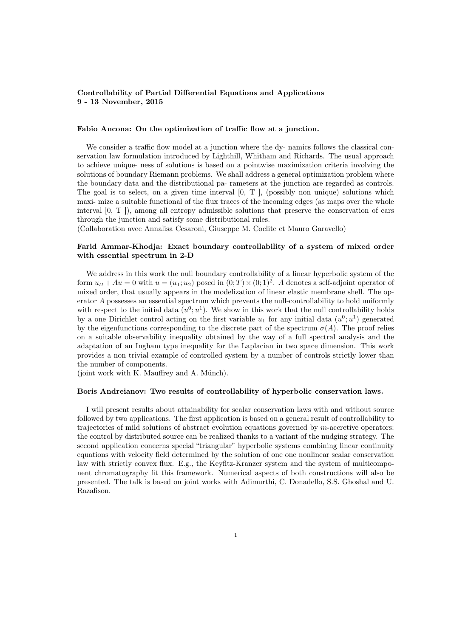## Controllability of Partial Differential Equations and Applications 9 - 13 November, 2015

## Fabio Ancona: On the optimization of traffic flow at a junction.

We consider a traffic flow model at a junction where the dy- namics follows the classical conservation law formulation introduced by Lighthill, Whitham and Richards. The usual approach to achieve unique- ness of solutions is based on a pointwise maximization criteria involving the solutions of boundary Riemann problems. We shall address a general optimization problem where the boundary data and the distributional pa- rameters at the junction are regarded as controls. The goal is to select, on a given time interval  $[0, T]$ , (possibly non unique) solutions which maxi- mize a suitable functional of the flux traces of the incoming edges (as maps over the whole interval [0, T ]), among all entropy admissible solutions that preserve the conservation of cars through the junction and satisfy some distributional rules.

(Collaboration avec Annalisa Cesaroni, Giuseppe M. Coclite et Mauro Garavello)

# Farid Ammar-Khodja: Exact boundary controllability of a system of mixed order with essential spectrum in 2-D

We address in this work the null boundary controllability of a linear hyperbolic system of the form  $u_{tt} + Au = 0$  with  $u = (u_1; u_2)$  posed in  $(0; T) \times (0; 1)^2$ . A denotes a self-adjoint operator of mixed order, that usually appears in the modelization of linear elastic membrane shell. The operator A possesses an essential spectrum which prevents the null-controllability to hold uniformly with respect to the initial data  $(u^0; u^1)$ . We show in this work that the null controllability holds by a one Dirichlet control acting on the first variable  $u_1$  for any initial data  $(u^0; u^1)$  generated by the eigenfunctions corresponding to the discrete part of the spectrum  $\sigma(A)$ . The proof relies on a suitable observability inequality obtained by the way of a full spectral analysis and the adaptation of an Ingham type inequality for the Laplacian in two space dimension. This work provides a non trivial example of controlled system by a number of controls strictly lower than the number of components.

(joint work with K. Mauffrey and A. Münch).

## Boris Andreianov: Two results of controllability of hyperbolic conservation laws.

I will present results about attainability for scalar conservation laws with and without source followed by two applications. The first application is based on a general result of controllability to trajectories of mild solutions of abstract evolution equations governed by m-accretive operators: the control by distributed source can be realized thanks to a variant of the nudging strategy. The second application concerns special "triangular" hyperbolic systems combining linear continuity equations with velocity field determined by the solution of one one nonlinear scalar conservation law with strictly convex flux. E.g., the Keyfitz-Kranzer system and the system of multicomponent chromatography fit this framework. Numerical aspects of both constructions will also be presented. The talk is based on joint works with Adimurthi, C. Donadello, S.S. Ghoshal and U. Razafison.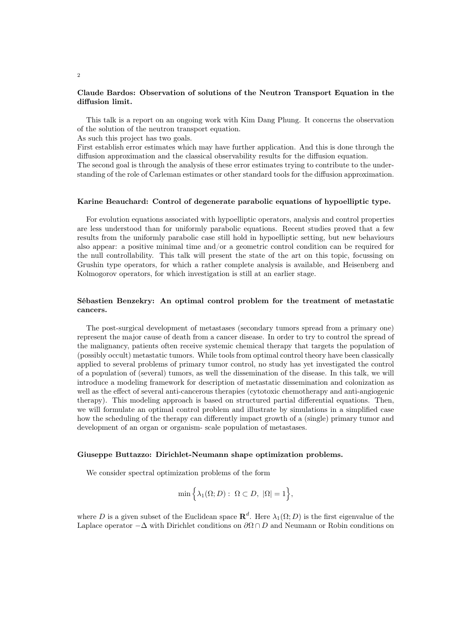## Claude Bardos: Observation of solutions of the Neutron Transport Equation in the diffusion limit.

This talk is a report on an ongoing work with Kim Dang Phung. It concerns the observation of the solution of the neutron transport equation.

As such this project has two goals.

First establish error estimates which may have further application. And this is done through the diffusion approximation and the classical observability results for the diffusion equation.

The second goal is through the analysis of these error estimates trying to contribute to the understanding of the role of Carleman estimates or other standard tools for the diffusion approximation.

#### Karine Beauchard: Control of degenerate parabolic equations of hypoelliptic type.

For evolution equations associated with hypoelliptic operators, analysis and control properties are less understood than for uniformly parabolic equations. Recent studies proved that a few results from the uniformly parabolic case still hold in hypoelliptic setting, but new behaviours also appear: a positive minimal time and/or a geometric control condition can be required for the null controllability. This talk will present the state of the art on this topic, focussing on Grushin type operators, for which a rather complete analysis is available, and Heisenberg and Kolmogorov operators, for which investigation is still at an earlier stage.

# Sébastien Benzekry: An optimal control problem for the treatment of metastatic cancers.

The post-surgical development of metastases (secondary tumors spread from a primary one) represent the major cause of death from a cancer disease. In order to try to control the spread of the malignancy, patients often receive systemic chemical therapy that targets the population of (possibly occult) metastatic tumors. While tools from optimal control theory have been classically applied to several problems of primary tumor control, no study has yet investigated the control of a population of (several) tumors, as well the dissemination of the disease. In this talk, we will introduce a modeling framework for description of metastatic dissemination and colonization as well as the effect of several anti-cancerous therapies (cytotoxic chemotherapy and anti-angiogenic therapy). This modeling approach is based on structured partial differential equations. Then, we will formulate an optimal control problem and illustrate by simulations in a simplified case how the scheduling of the therapy can differently impact growth of a (single) primary tumor and development of an organ or organism- scale population of metastases.

### Giuseppe Buttazzo: Dirichlet-Neumann shape optimization problems.

We consider spectral optimization problems of the form

$$
\min\Big\{\lambda_1(\Omega; D): \ \Omega \subset D, \ |\Omega|=1\Big\},\
$$

where D is a given subset of the Euclidean space  $\mathbb{R}^d$ . Here  $\lambda_1(\Omega; D)$  is the first eigenvalue of the Laplace operator  $-\Delta$  with Dirichlet conditions on  $\partial\Omega \cap D$  and Neumann or Robin conditions on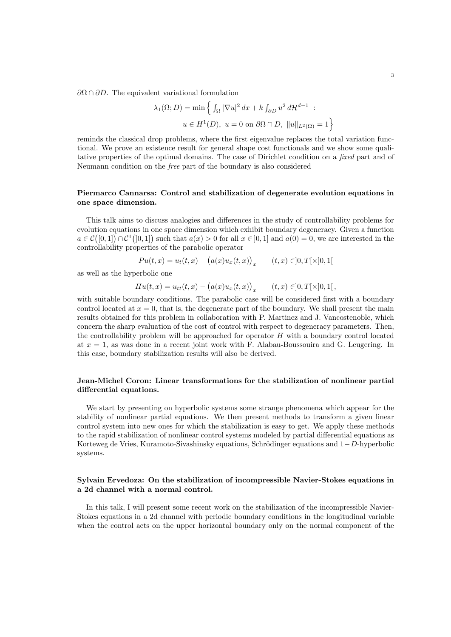$\partial\Omega \cap \partial D$ . The equivalent variational formulation

$$
\lambda_1(\Omega; D) = \min \left\{ \int_{\Omega} |\nabla u|^2 dx + k \int_{\partial D} u^2 d\mathcal{H}^{d-1} : u \in H^1(D), \ u = 0 \text{ on } \partial \Omega \cap D, ||u||_{L^2(\Omega)} = 1 \right\}
$$

reminds the classical drop problems, where the first eigenvalue replaces the total variation functional. We prove an existence result for general shape cost functionals and we show some qualitative properties of the optimal domains. The case of Dirichlet condition on a fixed part and of Neumann condition on the free part of the boundary is also considered

# Piermarco Cannarsa: Control and stabilization of degenerate evolution equations in one space dimension.

This talk aims to discuss analogies and differences in the study of controllability problems for evolution equations in one space dimension which exhibit boundary degeneracy. Given a function  $a \in \mathcal{C}([0,1]) \cap \mathcal{C}^1([0,1])$  such that  $a(x) > 0$  for all  $x \in [0,1]$  and  $a(0) = 0$ , we are interested in the controllability properties of the parabolic operator

$$
Pu(t, x) = u_t(t, x) - (a(x)u_x(t, x))_x \qquad (t, x) \in ]0, T[ \times ]0, 1[
$$

as well as the hyperbolic one

$$
Hu(t, x) = u_{tt}(t, x) - (a(x)u_x(t, x))_x \qquad (t, x) \in ]0, T[ \times ]0, 1[,
$$

with suitable boundary conditions. The parabolic case will be considered first with a boundary control located at  $x = 0$ , that is, the degenerate part of the boundary. We shall present the main results obtained for this problem in collaboration with P. Martinez and J. Vancostenoble, which concern the sharp evaluation of the cost of control with respect to degeneracy parameters. Then, the controllability problem will be approached for operator  $H$  with a boundary control located at  $x = 1$ , as was done in a recent joint work with F. Alabau-Boussouira and G. Leugering. In this case, boundary stabilization results will also be derived.

# Jean-Michel Coron: Linear transformations for the stabilization of nonlinear partial differential equations.

We start by presenting on hyperbolic systems some strange phenomena which appear for the stability of nonlinear partial equations. We then present methods to transform a given linear control system into new ones for which the stabilization is easy to get. We apply these methods to the rapid stabilization of nonlinear control systems modeled by partial differential equations as Korteweg de Vries, Kuramoto-Sivashinsky equations, Schrödinger equations and 1−D-hyperbolic systems.

# Sylvain Ervedoza: On the stabilization of incompressible Navier-Stokes equations in a 2d channel with a normal control.

In this talk, I will present some recent work on the stabilization of the incompressible Navier-Stokes equations in a 2d channel with periodic boundary conditions in the longitudinal variable when the control acts on the upper horizontal boundary only on the normal component of the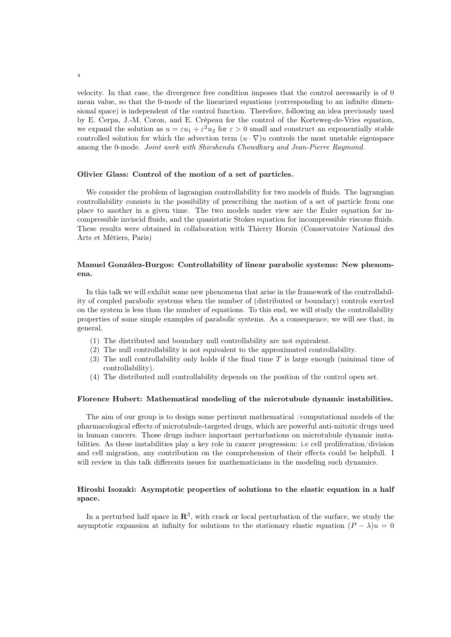velocity. In that case, the divergence free condition imposes that the control necessarily is of 0 mean value, so that the 0-mode of the linearized equations (corresponding to an infinite dimensional space) is independent of the control function. Therefore, following an idea previously used by E. Cerpa, J.-M. Coron, and E. Crépeau for the control of the Korteweg-de-Vries equation, we expand the solution as  $u = \varepsilon u_1 + \varepsilon^2 u_2$  for  $\varepsilon > 0$  small and construct an exponentially stable controlled solution for which the advection term  $(u \cdot \nabla)u$  controls the most unstable eigenspace among the 0-mode. Joint work with Shirshendu Chowdhury and Jean-Pierre Raymond.

## Olivier Glass: Control of the motion of a set of particles.

We consider the problem of lagrangian controllability for two models of fluids. The lagrangian controllability consists in the possibility of prescribing the motion of a set of particle from one place to another in a given time. The two models under view are the Euler equation for incompressible inviscid fluids, and the quasistatic Stokes equation for incompressible viscous fluids. These results were obtained in collaboration with Thierry Horsin (Conservatoire National des Arts et Métiers, Paris)

## Manuel González-Burgos: Controllability of linear parabolic systems: New phenomena.

In this talk we will exhibit some new phenomena that arise in the framework of the controllability of coupled parabolic systems when the number of (distributed or boundary) controls exerted on the system is less than the number of equations. To this end, we will study the controllability properties of some simple examples of parabolic systems. As a consequence, we will see that, in general,

- (1) The distributed and boundary null controllability are not equivalent.
- (2) The null controllability is not equivalent to the approximated controllability.
- (3) The null controllability only holds if the final time T is large enough (minimal time of controllability).
- (4) The distributed null controllability depends on the position of the control open set.

#### Florence Hubert: Mathematical modeling of the microtubule dynamic instabilities.

The aim of our group is to design some pertinent mathematical /computational models of the pharmacological effects of microtubule-targeted drugs, which are powerful anti-mitotic drugs used in human cancers. Those drugs induce important perturbations on microtubule dynamic instabilities. As these instabilities play a key role in cancer progression: i.e cell proliferation/division and cell migration, any contribution on the comprehension of their effects could be helpfull. I will review in this talk differents issues for mathematicians in the modeling such dynamics.

# Hiroshi Isozaki: Asymptotic properties of solutions to the elastic equation in a half space.

In a perturbed half space in  $\mathbb{R}^3$ , with crack or local perturbation of the surface, we study the asymptotic expansion at infinity for solutions to the stationary elastic equation  $(P - \lambda)u = 0$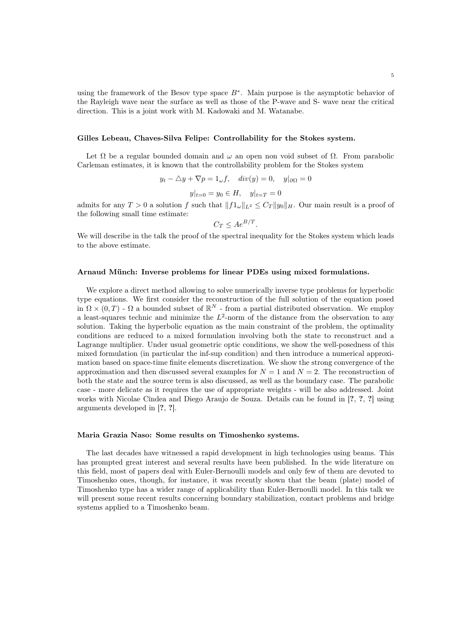## Gilles Lebeau, Chaves-Silva Felipe: Controllability for the Stokes system.

Let  $\Omega$  be a regular bounded domain and  $\omega$  an open non void subset of  $\Omega$ . From parabolic Carleman estimates, it is known that the controllability problem for the Stokes system

$$
y_t - \triangle y + \nabla p = 1_{\omega} f, \quad div(y) = 0, \quad y|_{\partial \Omega} = 0
$$

$$
y|_{t=0} = y_0 \in H, \quad y|_{t=T} = 0
$$

.

admits for any  $T > 0$  a solution f such that  $||f_1||_{L^2} \leq C_T ||y_0||_H$ . Our main result is a proof of the following small time estimate:

$$
C_T \le Ae^{B/T}
$$

We will describe in the talk the proof of the spectral inequality for the Stokes system which leads to the above estimate.

## Arnaud Münch: Inverse problems for linear PDEs using mixed formulations.

We explore a direct method allowing to solve numerically inverse type problems for hyperbolic type equations. We first consider the reconstruction of the full solution of the equation posed in  $\Omega \times (0,T)$  -  $\Omega$  a bounded subset of  $\mathbb{R}^N$  - from a partial distributed observation. We employ a least-squares technic and minimize the  $L^2$ -norm of the distance from the observation to any solution. Taking the hyperbolic equation as the main constraint of the problem, the optimality conditions are reduced to a mixed formulation involving both the state to reconstruct and a Lagrange multiplier. Under usual geometric optic conditions, we show the well-posedness of this mixed formulation (in particular the inf-sup condition) and then introduce a numerical approximation based on space-time finite elements discretization. We show the strong convergence of the approximation and then discussed several examples for  $N = 1$  and  $N = 2$ . The reconstruction of both the state and the source term is also discussed, as well as the boundary case. The parabolic case - more delicate as it requires the use of appropriate weights - will be also addressed. Joint works with Nicolae Cîndea and Diego Araujo de Souza. Details can be found in [?, ?, ?] using arguments developed in [?, ?].

### Maria Grazia Naso: Some results on Timoshenko systems.

The last decades have witnessed a rapid development in high technologies using beams. This has prompted great interest and several results have been published. In the wide literature on this field, most of papers deal with Euler-Bernoulli models and only few of them are devoted to Timoshenko ones, though, for instance, it was recently shown that the beam (plate) model of Timoshenko type has a wider range of applicability than Euler-Bernoulli model. In this talk we will present some recent results concerning boundary stabilization, contact problems and bridge systems applied to a Timoshenko beam.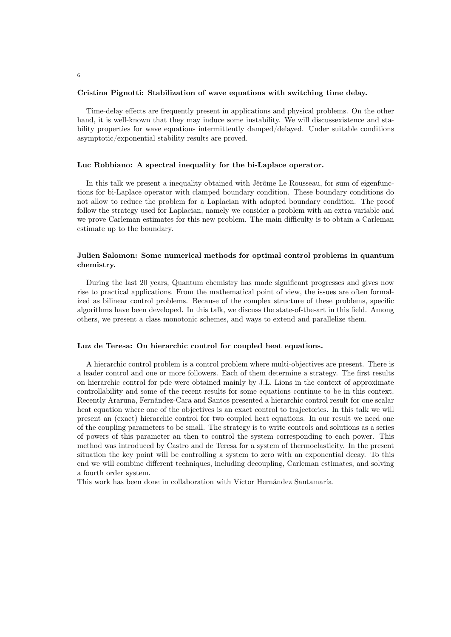#### Cristina Pignotti: Stabilization of wave equations with switching time delay.

Time-delay effects are frequently present in applications and physical problems. On the other hand, it is well-known that they may induce some instability. We will discussexistence and stability properties for wave equations intermittently damped/delayed. Under suitable conditions asymptotic/exponential stability results are proved.

## Luc Robbiano: A spectral inequality for the bi-Laplace operator.

In this talk we present a inequality obtained with Jérôme Le Rousseau, for sum of eigenfunctions for bi-Laplace operator with clamped boundary condition. These boundary conditions do not allow to reduce the problem for a Laplacian with adapted boundary condition. The proof follow the strategy used for Laplacian, namely we consider a problem with an extra variable and we prove Carleman estimates for this new problem. The main difficulty is to obtain a Carleman estimate up to the boundary.

# Julien Salomon: Some numerical methods for optimal control problems in quantum chemistry.

During the last 20 years, Quantum chemistry has made significant progresses and gives now rise to practical applications. From the mathematical point of view, the issues are often formalized as bilinear control problems. Because of the complex structure of these problems, specific algorithms have been developed. In this talk, we discuss the state-of-the-art in this field. Among others, we present a class monotonic schemes, and ways to extend and parallelize them.

## Luz de Teresa: On hierarchic control for coupled heat equations.

A hierarchic control problem is a control problem where multi-objectives are present. There is a leader control and one or more followers. Each of them determine a strategy. The first results on hierarchic control for pde were obtained mainly by J.L. Lions in the context of approximate controllability and some of the recent results for some equations continue to be in this context. Recently Araruna, Fernández-Cara and Santos presented a hierarchic control result for one scalar heat equation where one of the objectives is an exact control to trajectories. In this talk we will present an (exact) hierarchic control for two coupled heat equations. In our result we need one of the coupling parameters to be small. The strategy is to write controls and solutions as a series of powers of this parameter an then to control the system corresponding to each power. This method was introduced by Castro and de Teresa for a system of thermoelasticity. In the present situation the key point will be controlling a system to zero with an exponential decay. To this end we will combine different techniques, including decoupling, Carleman estimates, and solving a fourth order system.

This work has been done in collaboration with Víctor Hernández Santamaría.